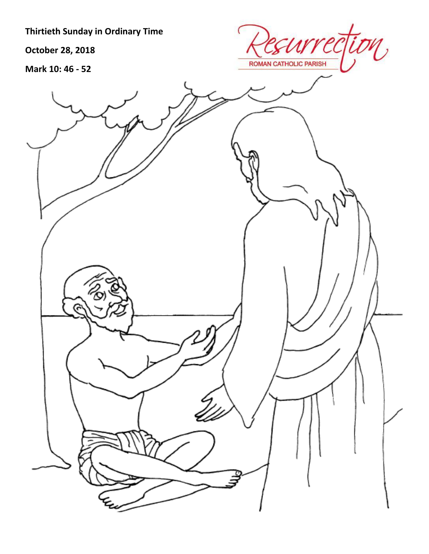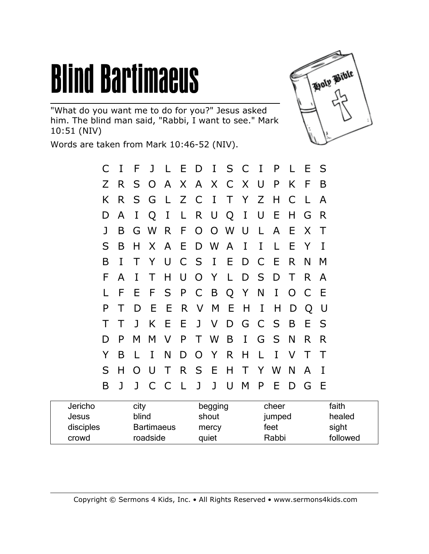## **Blind Bartimaeus**

"What do you want me to do for you?" Jesus asked him. The blind man said, "Rabbi, I want to see." Mark 10:51 (NIV)

Words are taken from Mark 10:46-52 (NIV).



| Jericho   | city              | begging | cheer  | faith    |
|-----------|-------------------|---------|--------|----------|
| Jesus     | blind             | shout   | jumped | healed   |
| disciples | <b>Bartimaeus</b> | mercy   | feet   | sight    |
| crowd     | roadside          | quiet   | Rabbi  | followed |

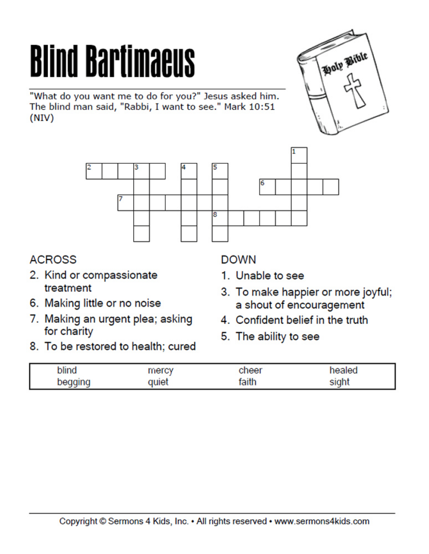# **Blind Bartimaeus**

"What do you want me to do for you?" Jesus asked him. The blind man said, "Rabbi, I want to see." Mark 10:51 (NIV)





#### **ACROSS**

- 2. Kind or compassionate treatment
- 6. Making little or no noise
- 7. Making an urgent plea; asking for charity
- 8. To be restored to health; cured

#### **DOWN**

- 1. Unable to see
- 3. To make happier or more joyful; a shout of encouragement
- 4. Confident belief in the truth
- 5. The ability to see

| blind   | mercy | cheer | healed |
|---------|-------|-------|--------|
| begging | quiet | faith | sight  |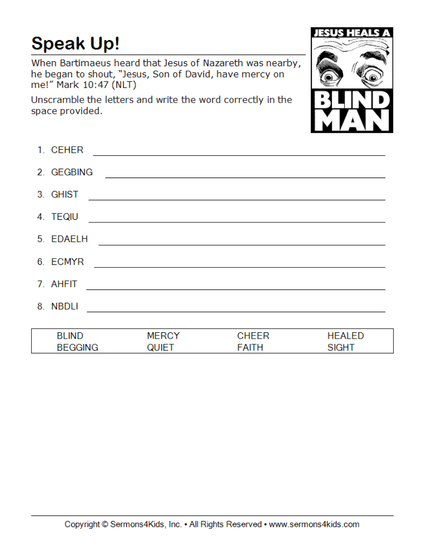#### **Speak Up!**

When Bartimaeus heard that Jesus of Nazareth was nearby, he began to shout, "Jesus, Son of David, have mercy on me!" Mark 10:47 (NLT)

Unscramble the letters and write the word correctly in the space provided.



| 1. CEHER       |              |              |               |
|----------------|--------------|--------------|---------------|
| 2. GEGBING     |              |              |               |
| 3. GHIST       |              |              |               |
| 4. TEQIU       |              |              |               |
| 5. EDAELH      |              |              |               |
| 6. ECMYR       |              |              |               |
| 7. AHFIT       |              |              |               |
| 8. NBDLI       |              |              |               |
|                |              |              |               |
| <b>BLIND</b>   | <b>MERCY</b> | <b>CHEER</b> | <b>HEALED</b> |
| <b>BEGGING</b> | <b>QUIET</b> | FAITH        | <b>SIGHT</b>  |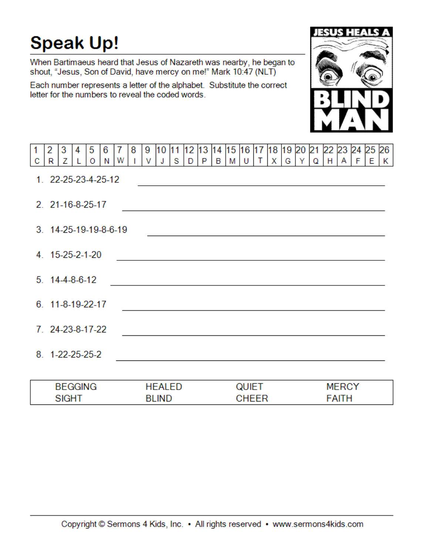### **Speak Up!**

When Bartimaeus heard that Jesus of Nazareth was nearby, he began to shout, "Jesus, Son of David, have mercy on me!" Mark 10:47 (NLT)

Each number represents a letter of the alphabet. Substitute the correct letter for the numbers to reveal the coded words.



| 1 | 2 | 3                         | 4 | 5 | 6                     | 7 | 8 | 9 | 10            | 11 | 12 | 13 | 14 | 15 16 17                                                                                      |              |              | 18 19 20 21 |   |   |   |   | 22 23 24     |   | 25 | 26 |
|---|---|---------------------------|---|---|-----------------------|---|---|---|---------------|----|----|----|----|-----------------------------------------------------------------------------------------------|--------------|--------------|-------------|---|---|---|---|--------------|---|----|----|
| с | R | Z                         |   | 0 | Ν                     | W |   | v | J             | s  | D  | P  | В  | M                                                                                             | U            | т            | х           | G | Y | Q | н | A            | F | E  | K  |
|   |   |                           |   |   | 1. 22-25-23-4-25-12   |   |   |   |               |    |    |    |    |                                                                                               |              |              |             |   |   |   |   |              |   |    |    |
|   |   | 2. 21-16-8-25-17          |   |   |                       |   |   |   |               |    |    |    |    | and the control of the control of the control of the control of the control of the control of |              |              |             |   |   |   |   |              |   |    |    |
|   |   |                           |   |   | 3. 14-25-19-19-8-6-19 |   |   |   |               |    |    |    |    |                                                                                               |              |              |             |   |   |   |   |              |   |    |    |
|   |   | 4. 15-25-2-1-20           |   |   |                       |   |   |   |               |    |    |    |    |                                                                                               |              |              |             |   |   |   |   |              |   |    |    |
|   |   | $5.14 - 4 - 8 - 6 - 12$   |   |   |                       |   |   |   |               |    |    |    |    |                                                                                               |              |              |             |   |   |   |   |              |   |    |    |
|   |   | $6.11 - 8 - 19 - 22 - 17$ |   |   |                       |   |   |   |               |    |    |    |    |                                                                                               |              |              |             |   |   |   |   |              |   |    |    |
|   |   | 7. 24-23-8-17-22          |   |   |                       |   |   |   |               |    |    |    |    |                                                                                               |              |              |             |   |   |   |   |              |   |    |    |
|   |   | 8. 1-22-25-25-2           |   |   |                       |   |   |   |               |    |    |    |    |                                                                                               |              |              |             |   |   |   |   |              |   |    |    |
|   |   |                           |   |   |                       |   |   |   |               |    |    |    |    |                                                                                               |              |              |             |   |   |   |   |              |   |    |    |
|   |   | <b>BEGGING</b>            |   |   |                       |   |   |   | <b>HEALED</b> |    |    |    |    |                                                                                               | <b>QUIET</b> |              |             |   |   |   |   | <b>MERCY</b> |   |    |    |
|   |   | <b>SIGHT</b>              |   |   |                       |   |   |   | <b>BLIND</b>  |    |    |    |    |                                                                                               |              | <b>CHEER</b> |             |   |   |   |   | <b>FAITH</b> |   |    |    |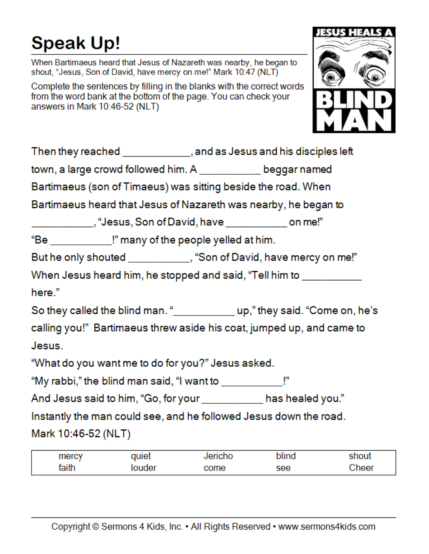### **Speak Up!**

When Bartimaeus heard that Jesus of Nazareth was nearby, he began to shout, "Jesus, Son of David, have mercy on me!" Mark 10:47 (NLT)

Complete the sentences by filling in the blanks with the correct words from the word bank at the bottom of the page. You can check your answers in Mark 10:46-52 (NLT)



|                                                                   | Then they reached ____________, and as Jesus and his disciples left          |
|-------------------------------------------------------------------|------------------------------------------------------------------------------|
| town, a large crowd followed him. A __________ beggar named       |                                                                              |
| Bartimaeus (son of Timaeus) was sitting beside the road. When     |                                                                              |
| Bartimaeus heard that Jesus of Nazareth was nearby, he began to   |                                                                              |
| _____________, "Jesus, Son of David, have _____________ on me!"   |                                                                              |
| "Be ____________!" many of the people yelled at him.              |                                                                              |
|                                                                   | But he only shouted __________, "Son of David, have mercy on me!"            |
|                                                                   | When Jesus heard him, he stopped and said, "Tell him to __________           |
| here."                                                            |                                                                              |
|                                                                   | So they called the blind man. "______________ up," they said. "Come on, he's |
|                                                                   | calling you!" Bartimaeus threw aside his coat, jumped up, and came to        |
| Jesus.                                                            |                                                                              |
| "What do you want me to do for you?" Jesus asked.                 |                                                                              |
| "My rabbi," the blind man said, "I want to ____________!"         |                                                                              |
| And Jesus said to him, "Go, for your __________ has healed you."  |                                                                              |
| Instantly the man could see, and he followed Jesus down the road. |                                                                              |
| Mark 10:46-52 (NLT)                                               |                                                                              |
|                                                                   |                                                                              |

| mercy | duiet | ericho |     |      |
|-------|-------|--------|-----|------|
| faith | ouder | ome:   | see | heer |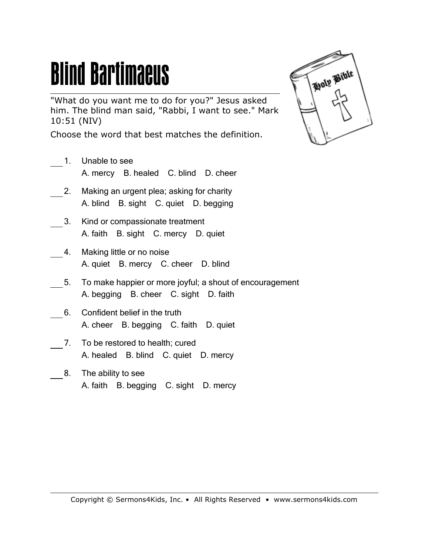## **Blind Bartimaeus**

"What do you want me to do for you?" Jesus asked him. The blind man said, "Rabbi, I want to see." Mark 10:51 (NIV)

Choose the word that best matches the definition.

- 1. Unable to see A. mercy B. healed C. blind D. cheer
- 2. Making an urgent plea; asking for charity A. blind B. sight C. quiet D. begging
- 3. Kind or compassionate treatment A. faith B. sight C. mercy D. quiet
- 4. Making little or no noise A. quiet B. mercy C. cheer D. blind
- 5. To make happier or more joyful; a shout of encouragement A. begging B. cheer C. sight D. faith
- 6. Confident belief in the truth A. cheer B. begging C. faith D. quiet
- 7. To be restored to health; cured A. healed B. blind C. quiet D. mercy
- 8. The ability to see A. faith B. begging C. sight D. mercy